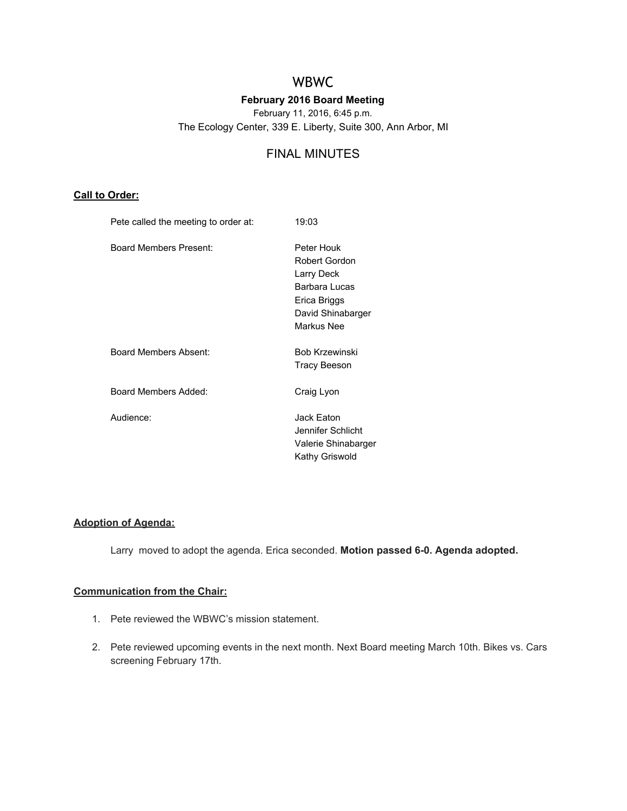# WBWC

## **February 2016 Board Meeting**

February 11, 2016, 6:45 p.m.

The Ecology Center, 339 E. Liberty, Suite 300, Ann Arbor, MI

# FINAL MINUTES

## **Call to Order:**

| Pete called the meeting to order at: | 19:03                                                                                                                |
|--------------------------------------|----------------------------------------------------------------------------------------------------------------------|
| Board Members Present:               | Peter Houk<br><b>Robert Gordon</b><br>Larry Deck<br>Barbara Lucas<br>Erica Briggs<br>David Shinabarger<br>Markus Nee |
| Board Members Absent:                | <b>Bob Krzewinski</b><br>Tracy Beeson                                                                                |
| Board Members Added:                 | Craig Lyon                                                                                                           |
| Audience:                            | Jack Eaton<br>Jennifer Schlicht<br>Valerie Shinabarger<br>Kathy Griswold                                             |
|                                      |                                                                                                                      |

## **Adoption of Agenda:**

Larry moved to adopt the agenda. Erica seconded. Motion passed 6-0. Agenda adopted.

## **Communication from the Chair:**

- 1. Pete reviewed the WBWC's mission statement.
- 2. Pete reviewed upcoming events in the next month. Next Board meeting March 10th. Bikes vs. Cars screening February 17th.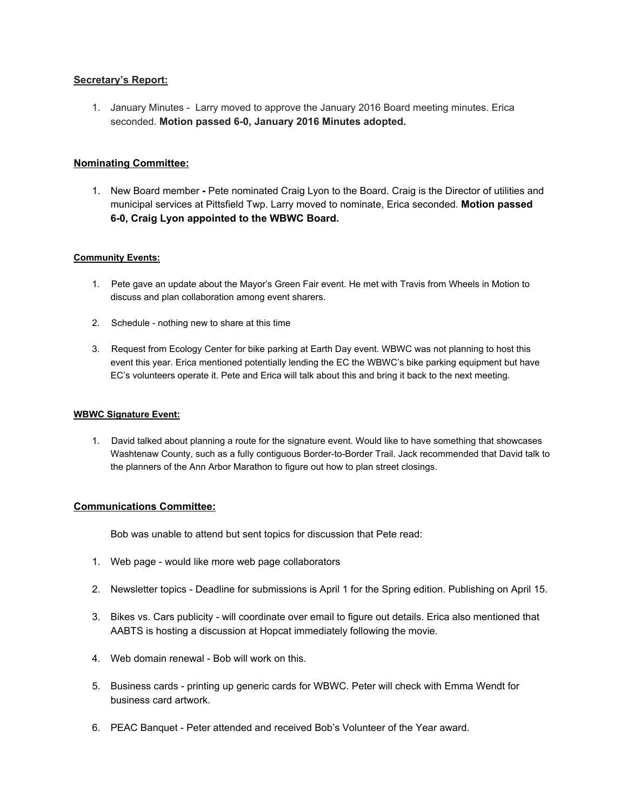#### **Secretary's Report:**

1. January Minutes Larry moved to approve the January 2016 Board meeting minutes. Erica seconded. **Motion passed 60, January 2016 Minutes adopted.**

### **Nominating Committee:**

1. New Board member Pete nominated Craig Lyon to the Board. Craig is the Director of utilities and municipal services at Pittsfield Twp. Larry moved to nominate, Erica seconded. **Motion passed 60, Craig Lyon appointed to the WBWC Board.**

#### **Community Events:**

- 1. Pete gave an update about the Mayor's Green Fair event. He met with Travis from Wheels in Motion to discuss and plan collaboration among event sharers.
- 2. Schedule nothing new to share at this time
- 3. Request from Ecology Center for bike parking at Earth Day event. WBWC was not planning to host this event this year. Erica mentioned potentially lending the EC the WBWC's bike parking equipment but have EC's volunteers operate it. Pete and Erica will talk about this and bring it back to the next meeting.

#### **WBWC Signature Event:**

1. David talked about planning a route for the signature event. Would like to have something that showcases Washtenaw County, such as a fully contiguous Border-to-Border Trail. Jack recommended that David talk to the planners of the Ann Arbor Marathon to figure out how to plan street closings.

#### **Communications Committee:**

Bob was unable to attend but sent topics for discussion that Pete read:

- 1. Web page would like more web page collaborators
- 2. Newsletter topics Deadline for submissions is April 1 for the Spring edition. Publishing on April 15.
- 3. Bikes vs. Cars publicity will coordinate over email to figure out details. Erica also mentioned that AABTS is hosting a discussion at Hopcat immediately following the movie.
- 4. Web domain renewal Bob will work on this.
- 5. Business cards printing up generic cards for WBWC. Peter will check with Emma Wendt for business card artwork.
- 6. PEAC Banquet Peter attended and received Bob's Volunteer of the Year award.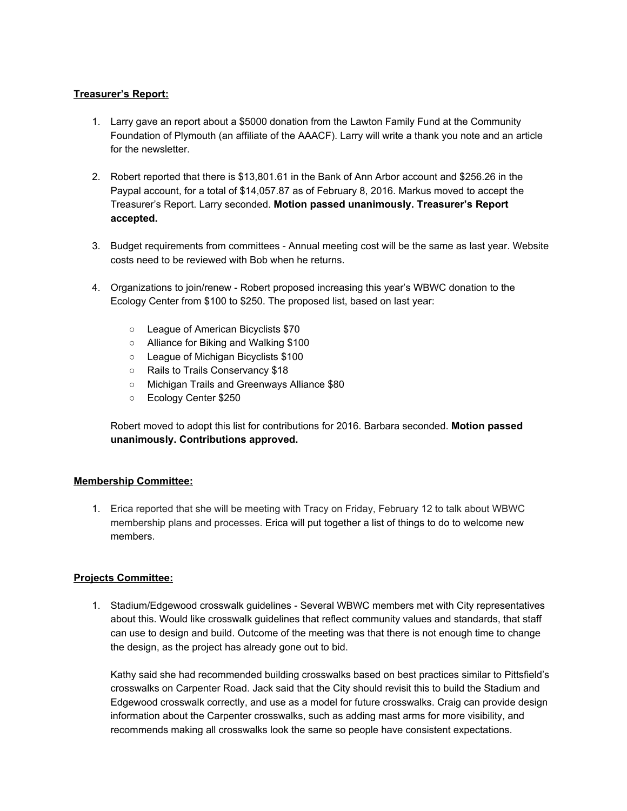## **Treasurer's Report:**

- 1. Larry gave an report about a \$5000 donation from the Lawton Family Fund at the Community Foundation of Plymouth (an affiliate of the AAACF). Larry will write a thank you note and an article for the newsletter.
- 2. Robert reported that there is \$13,801.61 in the Bank of Ann Arbor account and \$256.26 in the Paypal account, for a total of \$14,057.87 as of February 8, 2016. Markus moved to accept the Treasurer's Report. Larry seconded. **Motion passed unanimously. Treasurer's Report accepted.**
- 3. Budget requirements from committees Annual meeting cost will be the same as last year. Website costs need to be reviewed with Bob when he returns.
- 4. Organizations to join/renew Robert proposed increasing this year's WBWC donation to the Ecology Center from \$100 to \$250. The proposed list, based on last year:
	- League of American Bicyclists \$70
	- Alliance for Biking and Walking \$100
	- League of Michigan Bicyclists \$100
	- Rails to Trails Conservancy \$18
	- Michigan Trails and Greenways Alliance \$80
	- Ecology Center \$250

Robert moved to adopt this list for contributions for 2016. Barbara seconded. **Motion passed unanimously. Contributions approved.**

## **Membership Committee:**

1. Erica reported that she will be meeting with Tracy on Friday, February 12 to talk about WBWC membership plans and processes. Erica will put together a list of things to do to welcome new members.

## **Projects Committee:**

1. Stadium/Edgewood crosswalk guidelines - Several WBWC members met with City representatives about this. Would like crosswalk guidelines that reflect community values and standards, that staff can use to design and build. Outcome of the meeting was that there is not enough time to change the design, as the project has already gone out to bid.

Kathy said she had recommended building crosswalks based on best practices similar to Pittsfield's crosswalks on Carpenter Road. Jack said that the City should revisit this to build the Stadium and Edgewood crosswalk correctly, and use as a model for future crosswalks. Craig can provide design information about the Carpenter crosswalks, such as adding mast arms for more visibility, and recommends making all crosswalks look the same so people have consistent expectations.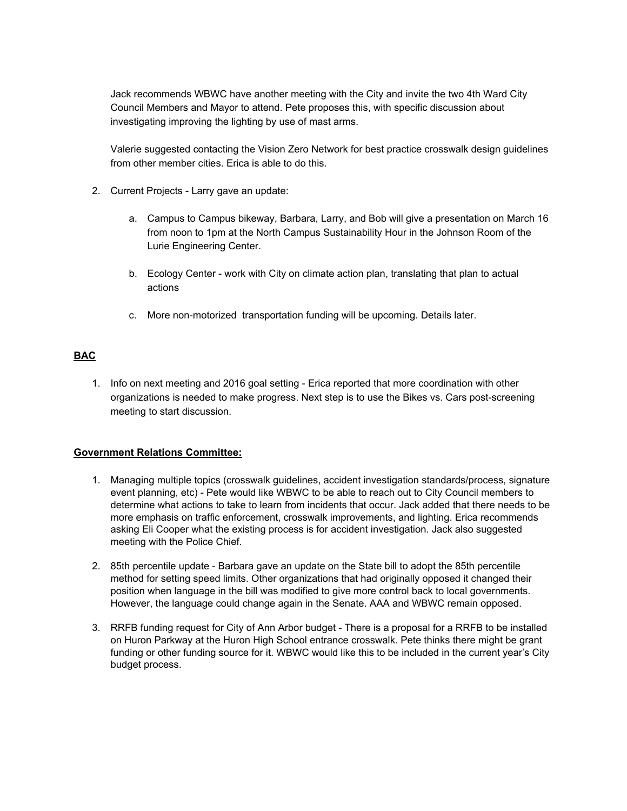Jack recommends WBWC have another meeting with the City and invite the two 4th Ward City Council Members and Mayor to attend. Pete proposes this, with specific discussion about investigating improving the lighting by use of mast arms.

Valerie suggested contacting the Vision Zero Network for best practice crosswalk design guidelines from other member cities. Erica is able to do this.

- 2. Current Projects Larry gave an update:
	- a. Campus to Campus bikeway, Barbara, Larry, and Bob will give a presentation on March 16 from noon to 1pm at the North Campus Sustainability Hour in the Johnson Room of the Lurie Engineering Center.
	- b. Ecology Center work with City on climate action plan, translating that plan to actual actions
	- c. More non-motorized transportation funding will be upcoming. Details later.

## **BAC**

1. Info on next meeting and 2016 goal setting Erica reported that more coordination with other organizations is needed to make progress. Next step is to use the Bikes vs. Cars post-screening meeting to start discussion.

## **Government Relations Committee:**

- 1. Managing multiple topics (crosswalk guidelines, accident investigation standards/process, signature event planning, etc) - Pete would like WBWC to be able to reach out to City Council members to determine what actions to take to learn from incidents that occur. Jack added that there needs to be more emphasis on traffic enforcement, crosswalk improvements, and lighting. Erica recommends asking Eli Cooper what the existing process is for accident investigation. Jack also suggested meeting with the Police Chief.
- 2. 85th percentile update Barbara gave an update on the State bill to adopt the 85th percentile method for setting speed limits. Other organizations that had originally opposed it changed their position when language in the bill was modified to give more control back to local governments. However, the language could change again in the Senate. AAA and WBWC remain opposed.
- 3. RRFB funding request for City of Ann Arbor budget There is a proposal for a RRFB to be installed on Huron Parkway at the Huron High School entrance crosswalk. Pete thinks there might be grant funding or other funding source for it. WBWC would like this to be included in the current year's City budget process.